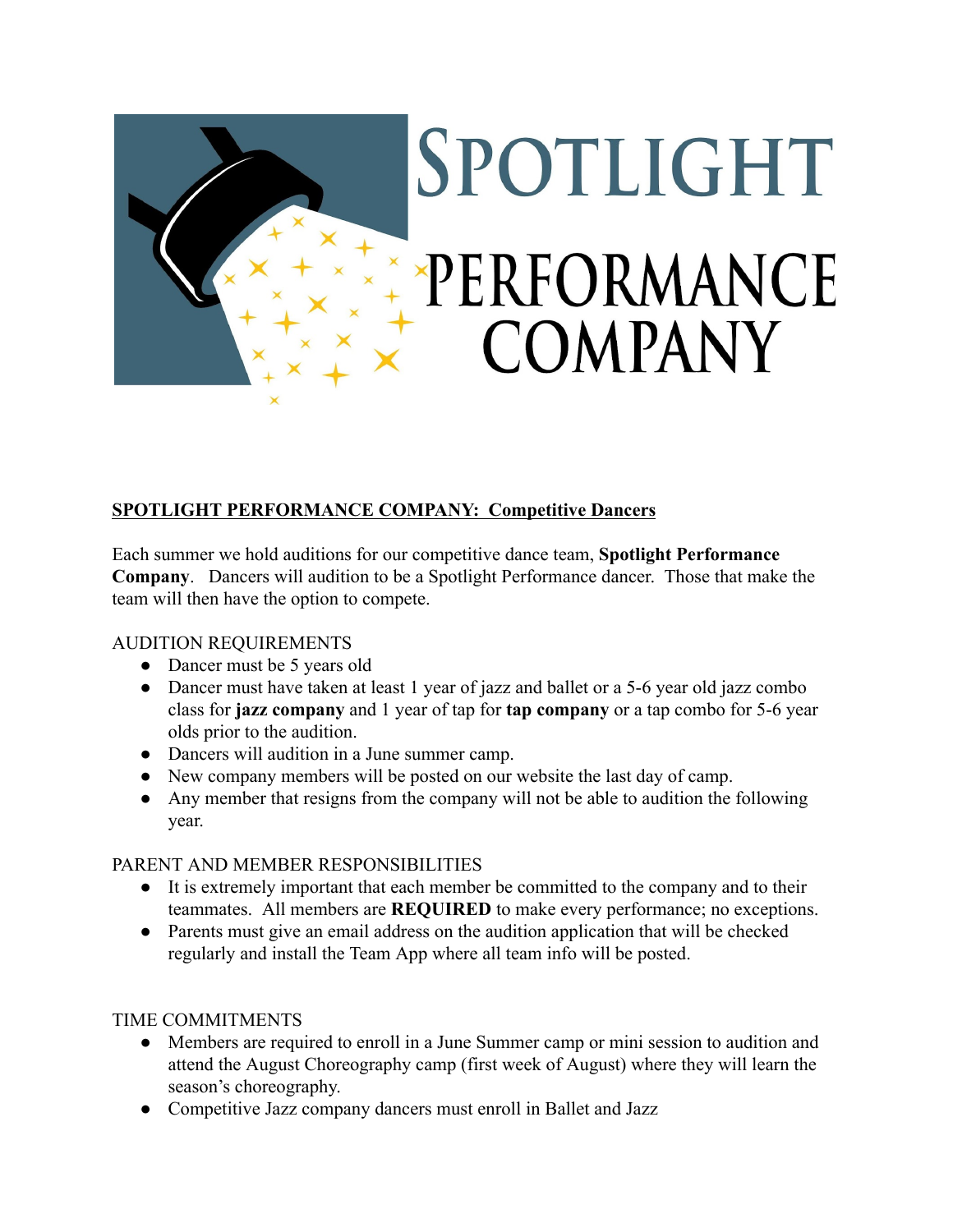

# SPOTLIGHT PERFORMANCE **COMPANY**

# **SPOTLIGHT PERFORMANCE COMPANY: Competitive Dancers**

Each summer we hold auditions for our competitive dance team, **Spotlight Performance Company**. Dancers will audition to be a Spotlight Performance dancer. Those that make the team will then have the option to compete.

## AUDITION REQUIREMENTS

- Dancer must be 5 years old
- Dancer must have taken at least 1 year of jazz and ballet or a 5-6 year old jazz combo class for **jazz company** and 1 year of tap for **tap company** or a tap combo for 5-6 year olds prior to the audition.
- Dancers will audition in a June summer camp.
- New company members will be posted on our website the last day of camp.
- Any member that resigns from the company will not be able to audition the following year.

## PARENT AND MEMBER RESPONSIBILITIES

- It is extremely important that each member be committed to the company and to their teammates. All members are **REQUIRED** to make every performance; no exceptions.
- Parents must give an email address on the audition application that will be checked regularly and install the Team App where all team info will be posted.

## TIME COMMITMENTS

- Members are required to enroll in a June Summer camp or mini session to audition and attend the August Choreography camp (first week of August) where they will learn the season's choreography.
- Competitive Jazz company dancers must enroll in Ballet and Jazz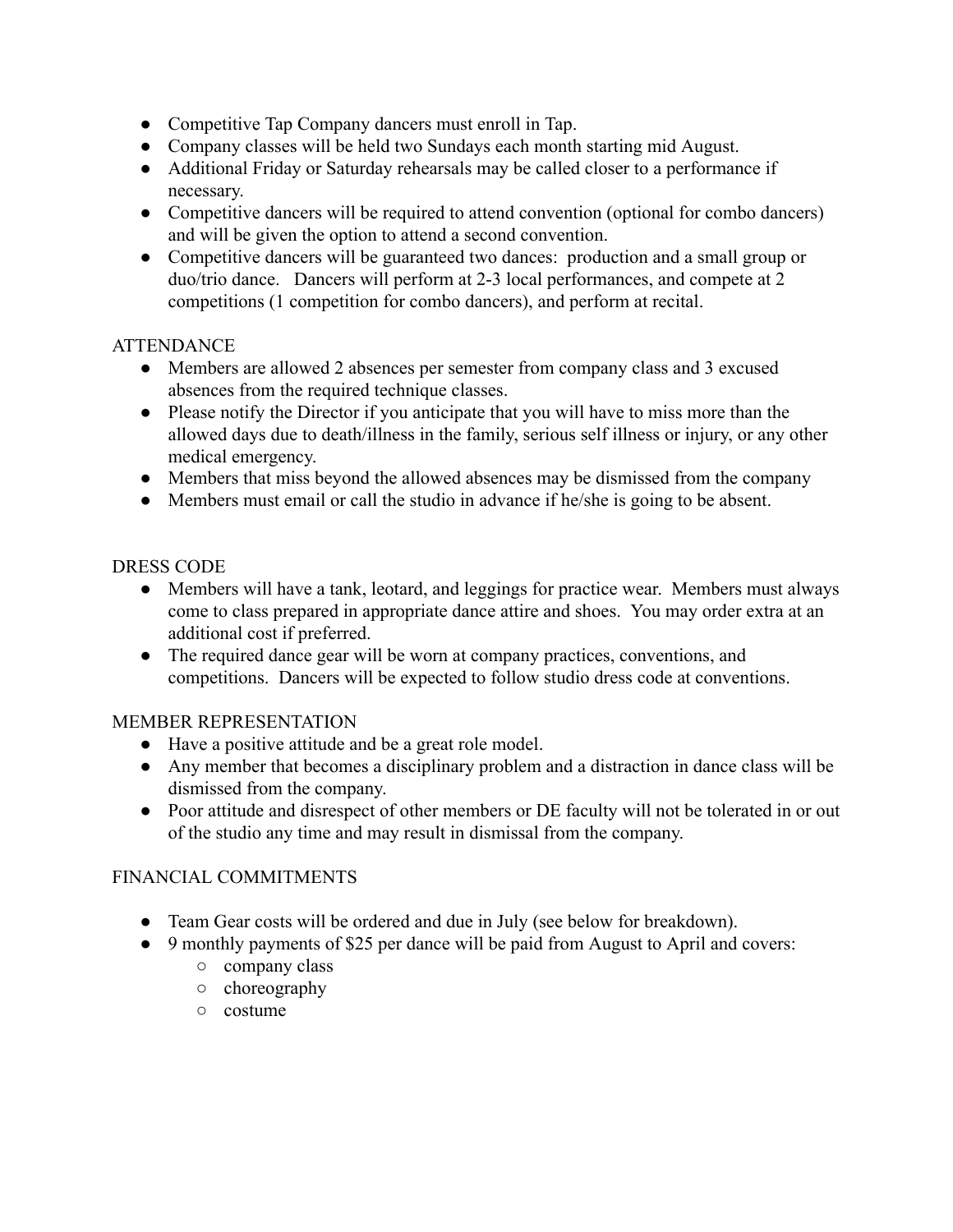- Competitive Tap Company dancers must enroll in Tap.
- Company classes will be held two Sundays each month starting mid August.
- Additional Friday or Saturday rehearsals may be called closer to a performance if necessary.
- Competitive dancers will be required to attend convention (optional for combo dancers) and will be given the option to attend a second convention.
- Competitive dancers will be guaranteed two dances: production and a small group or duo/trio dance. Dancers will perform at 2-3 local performances, and compete at 2 competitions (1 competition for combo dancers), and perform at recital.

#### **ATTENDANCE**

- Members are allowed 2 absences per semester from company class and 3 excused absences from the required technique classes.
- Please notify the Director if you anticipate that you will have to miss more than the allowed days due to death/illness in the family, serious self illness or injury, or any other medical emergency.
- Members that miss beyond the allowed absences may be dismissed from the company
- Members must email or call the studio in advance if he/she is going to be absent.

#### DRESS CODE

- Members will have a tank, leotard, and leggings for practice wear. Members must always come to class prepared in appropriate dance attire and shoes. You may order extra at an additional cost if preferred.
- The required dance gear will be worn at company practices, conventions, and competitions. Dancers will be expected to follow studio dress code at conventions.

#### MEMBER REPRESENTATION

- Have a positive attitude and be a great role model.
- Any member that becomes a disciplinary problem and a distraction in dance class will be dismissed from the company.
- Poor attitude and disrespect of other members or DE faculty will not be tolerated in or out of the studio any time and may result in dismissal from the company.

## FINANCIAL COMMITMENTS

- Team Gear costs will be ordered and due in July (see below for breakdown).
- 9 monthly payments of \$25 per dance will be paid from August to April and covers:
	- company class
	- choreography
	- costume